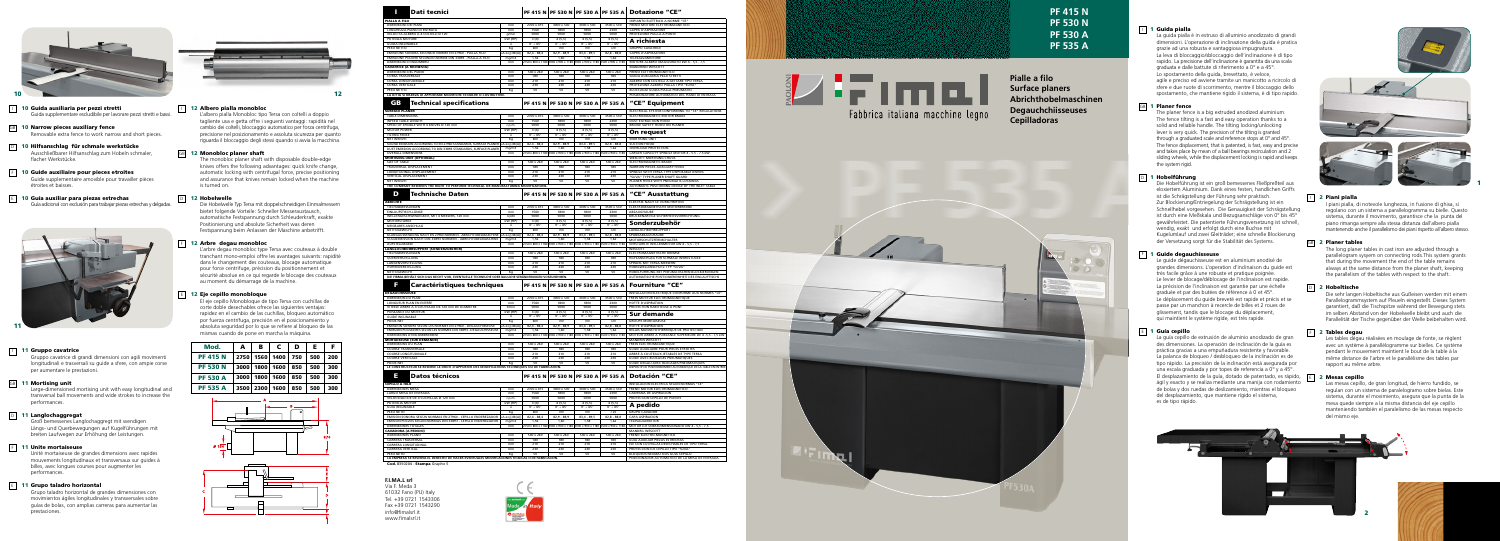

- 10 Guida ausiliaria per pezzi stretti Guida supplementare escludibile per lavorare pezzi stretti e bassi.
- **GB** 10 Narrow pieces auxiliary fence Removable extra fence to work narrow and short pieces.
- D 10 Hilfsanschlag für schmale werkstücke Ausschließbarer Hilfsanschlag zum Hobeln schmaler, flacher Werkstücke.
- $\boxed{F}$  10 Guide auxiliaire pour pieces etroites Guide supplementaire amovible pour travailler pièces étroites et baisses.
- $\boxed{\mathsf{E}}$  10 Guía auxiliar para piezas estrechas Guía adicional con exclusión para trabajar piezas estrechas y delgadas.



# 11 Gruppo cavatrice

Gruppo cavatrice di grandi dimensioni con agili movimenti longitudinali e trasversali su quide a sfere, con ampie corse per aumentare le prestazioni.

#### GB 11 Mortising unit

Large-dimensioned mortising unit with easy longitudinal and transversal ball movements and wide strokes to increase the performances.

# D 11 Langlochaggregat

Groß bemessenes Langlochaggregt mit wendigen Längs- und Querbewegungen auf Kugelführungen mit breiten Laufwegen zur Erhöhung der Leistungen.

#### $\boxed{F}$  11 Unite mortaiseuse

Unité mortaiseuse de grandes dimensions avec rapides mouvements longitudinaux et transversaux sur quides à billes, avec longues courses pour augmenter les performances.

#### $\boxed{E}$  11 Grupo taladro horizontal

Grupo taladro horizontal de grandes dimensiones con movimientos ágiles longitudinales y transversales sobre quías de bolas, con amplias carreras para aumentar las prestaciones.



# 12 Albero pialla monobloo

L'albero pialla Monobloc tipo Tersa con coltelli a doppio tagliente usa e getta offre i seguenti vantaggi: rapidità nel cambio dei coltelli, bloccaggio automatico per forza centrifuga, precisione nel posizionamento e assoluta sicurezza per quanto riguarda il bloccaggio degli stessi guando si avvia la macchina.

#### **GB** 12 Monobloc planer shaft

The monobloc planer shaft with disposable double-edge knives offers the following advantages: guick knife change. automatic locking with centrifugal force, precise positioning and assurance that knives remain locked when the machine is turned on.

# D 12 Hobelwelle

Die Hobelwelle Typ Tersa mit doppelschneidigen Einmalmessern bietet folgende Vorteile: Schneller Messeraustausch. automatische Festspannung durch Schleuderkraft, exakte Positionierung und absolute Sicherheit was deren Festspannung beim Anlassen der Maschine anbetrifft.

#### 12 Arbre degau monobloc

L'arbre degau monobloc type Tersa avec couteaux à double tranchant mono-emploi offre les avantages suivants: rapidité dans le changement des couteaux, blocage automatique pour force centrifuge, précision du positionnement et sécurité absolue en ce qui regarde le blocage des couteaux au moment du démarrage de la machine.

#### $\boxed{E}$  12 Eje cepillo monobloque

El eje cepillo Monobloque de tipo Tersa con cuchillas de corte doble desechables ofrece las siguientes ventajas: rapidez en el cambio de las cuchillas. bloqueo automático por fuerza centrífuga, precisión en el posicionamiento y absoluta seguridad por lo que se refiere al bloqueo de las mismas cuando de pone en marcha la máquina.

| Mod.            | A      | в         | C    | D   | Е   | F   |
|-----------------|--------|-----------|------|-----|-----|-----|
| <b>PF 415 N</b> |        | 2750 1560 | 1400 | 750 | 500 | 200 |
| <b>PF 530 N</b> | 3000   | 1800      | 1600 | 850 | 500 | 300 |
| <b>PF 530 A</b> | 3000 l | 1800      | 1600 | 850 | 500 | 300 |
| <b>PF 535 A</b> | 3500   | 2300      | 1600 | 850 | 500 | 300 |



| <b>Dati tecnici</b><br>Ш                                                                                |                   |                              |                                         |                                                                         |                                           | PF 415 N PF 530 N PF 530 A PF 535 A Dotazione "CE"                                |  |  |
|---------------------------------------------------------------------------------------------------------|-------------------|------------------------------|-----------------------------------------|-------------------------------------------------------------------------|-------------------------------------------|-----------------------------------------------------------------------------------|--|--|
| A A FILO                                                                                                |                   |                              |                                         |                                                                         |                                           | IMPIANTO ELETTRICO A NORME "CE"                                                   |  |  |
| ENSIONI DEI PIANI                                                                                       | mm                | 2700 x 415                   | 3000 x 530                              | 3000 x 530                                                              | 3500 x 530                                | FRENO MOTORE ELETTROMAGNETICO                                                     |  |  |
| GHEZZA PIANO DI ENTRATA<br>OCITÀ ALBERO A 4 COLTELLI Ø 120                                              | mm                | 1560<br>5000                 | 1800<br>5000                            | 1800<br>5000                                                            | 2300<br>5000                              | CAPPA D'ASPIRAZIONE<br>PROTEZIONE PIALLA A PONTE                                  |  |  |
| ENZA MOTORE                                                                                             | g/min<br>kW (HP)  | 3(4)                         | 4(5,5)                                  | 4(5,5)                                                                  | 4(5,5)                                    |                                                                                   |  |  |
| <b>DA INCLINABILE</b>                                                                                   | $\circ$           | $0^\circ + 45^\circ$         | $0^\circ \div 45^\circ$                 | $0^\circ + 45^\circ$                                                    | $0^\circ + 45^\circ$                      | A richiesta                                                                       |  |  |
| ) NETTO                                                                                                 | Kg                | 600                          | 700                                     | 700                                                                     | 720                                       | <b>GRUPPO CAVATRICE</b>                                                           |  |  |
| SSIONE SONORA SECONDO NORME EN 27960 - PIALLA FILO                                                      | LA eq $[dB(A)]$   | $82,4 - 88,4$                | $82,9 - 88,9$                           | $83,4 - 89,5$                                                           | $82,8 - 88,8$                             | CAPPA D'ASPIRAZIONE                                                               |  |  |
| SSIONE POLVERI SECONDO NORME DIN 33893 - PIALLA A FILO                                                  | mg/m3             | 1,56                         | 1,60                                    | 1,58                                                                    | 1,62                                      | TELESALVAMOTORE                                                                   |  |  |
| ENSIONI D'INGOMBRO<br><b>ITRICE (A RICHIESTA)</b>                                                       | mm                |                              |                                         | 2750 x 800 x 1180 3000 x 900 x 1180 3000 x 900 x 1180 3500 x 900 x 1180 |                                           | MOTORE ALBERO MAGGIORATO kW 4 - 5,5 - 7,5<br><b>MANDRINO WESCOTT</b>              |  |  |
| <b>ENSIONI DEL PIANO</b>                                                                                | mm                | 540 x 260                    | 540 x 260                               | 540 x 260                                                               | 540 x 260                                 | <b>FRENO ELETTROMAGNETICO</b>                                                     |  |  |
| SA TRASVERSALE                                                                                          | mm                | 180                          | 180                                     | 180                                                                     | 180                                       | GUIDA AUSILIARIA PEZZI STRETTI                                                    |  |  |
| SA LONGITUDINALE                                                                                        | mm                | 210                          | 210                                     | 210                                                                     | 210                                       | ALBERO CON COLTELLI A GETTARE TIPO TERSA                                          |  |  |
| SA VERTICALE                                                                                            | mm                | 230                          | 230                                     | 230                                                                     | 230                                       | PROTEZIONE ALBERO PIALLA TIPO "SUVA"                                              |  |  |
| ) NETTO<br>ITTA SI RISERVA DI APPORTARE MODIFICHE TECNICHE O COSTRUTTIVE.                               | Кg                | 50                           | 50                                      | 50                                                                      | 50                                        | BLOCCAGGI GUIDA PIALLA PNEUMATICI                                                 |  |  |
| <b>Technical specifications</b><br>68                                                                   |                   |                              | <b>PF 415 N   PF 530 N   PF 530 A  </b> |                                                                         | <b>PF 535 A</b>                           | POSIZIONATORE AUTOMATICO DEL PIANO DI ENTRATA<br>"CE" Equipment                   |  |  |
| <b>ACE PLANER</b>                                                                                       |                   |                              |                                         |                                                                         |                                           | ELECTRICAL SYSTEM CONFORMING TO "CE" REGULATIONS                                  |  |  |
| LE DIMENSIONS                                                                                           | mm                | 2700 x 415                   | 3000 x 530                              | 3000 x 530                                                              | 3500 x 530                                | ELECTROMAGNETIC MOTOR BRAKE                                                       |  |  |
| ED TABLE LENGTH                                                                                         | mm                | 1560                         | 1800                                    | 1800                                                                    | 2300                                      | DUST EXTRACTION HOOD                                                              |  |  |
| D OF SPINDLE WITH 4 KNIVES Ø 120 mm<br>for power                                                        | r.p.m.<br>kW (HP) | 5000<br>3(4)                 | 5000<br>4(5,5)                          | 5000<br>4(5,5)                                                          | 5000<br>4(5,5)                            | BRIDGE SAFETY HOOD ON PLANER                                                      |  |  |
| ING FENCE                                                                                               | $\circ$           | $0^\circ \div 45^\circ$      | $0^\circ + 45^\circ$                    | $0^\circ + 45^\circ$                                                    | $0^\circ + 45^\circ$                      | On request                                                                        |  |  |
| WEIGHT                                                                                                  | Кg                | 600                          | 700                                     | 700                                                                     | 720                                       | <b>MORTISING UNIT</b>                                                             |  |  |
| ND EMISSION ACCORDING TO EN 27960 STANDARDS, SURFACE PLANER LA eq [dB(A)]                               |                   | $82.4 - 88,4$                | $82.9 - 88.9$                           | $83.4 - 89.5$                                                           | $82.8 - 88.8$                             | <b>SUCTION HOOD</b>                                                               |  |  |
| T EMISSION ACCORDING TO DIN 33893 STANDARDS, SURFACE PLANER                                             | mg/m3             | 1.56                         | 1.60                                    | 1.58                                                                    | 1.62                                      | <b>OVERLOAD PROTECTION</b>                                                        |  |  |
| RALL DIMENSIONS                                                                                         | mm                |                              |                                         | 2750 x 800 x 1180 3000 x 900 x 1180 3000 x 900 x 1180 3500 x 900 x 1180 |                                           | LARGER CAPACITY SPINDLE MOTOR 4 - 5.5 - 7.5 kW                                    |  |  |
| TISING UNIT (OPTIONAL)                                                                                  |                   |                              | 540 x 260                               | 540 x 260                                                               |                                           | <b>WESCOTT MORTISING CHUCK</b>                                                    |  |  |
| OF TABLE<br>SVERSAL DISPLACEMENT                                                                        | mm<br>mm          | 540 x 260<br>180             | 180                                     | 180                                                                     | 540 x 260<br>180                          | ELECTROMAGNETIC BRAKE<br>NARROW PIECES AUXILIARY FENCE                            |  |  |
| GITUDINAL DISPLACEMENT                                                                                  | mm                | 210                          | 210                                     | 210                                                                     | 210                                       | SPINDLE WITH TERSA TYPE DISPOSABLE KNIVES                                         |  |  |
| <b>TICAL DISPLACEMENT</b>                                                                               | mm                | 230                          | 230                                     | 230                                                                     | 230                                       | "SUVA" TYPE PLANER SHAFT GUARD                                                    |  |  |
| WEIGHT                                                                                                  | Kg                | 50                           | 50                                      | 50                                                                      | 50                                        | PLANER FENCE WITH PNEUMATIC LOCKINGS                                              |  |  |
| COMPANY RESERVES THE RIGHT TO PERFORM TECHNICAL OR MANUFACTURING MODIFICATIONS<br>D<br>Technische Daten |                   |                              |                                         |                                                                         |                                           | AUTOMATIC POSITIONING DEVICE OF THE INLET TABLE<br>"CE" Ausstattung               |  |  |
| <b>CHTE</b>                                                                                             |                   |                              | <b>PF 415 N PF 530 N</b>                | <b>PF 530 A</b>                                                         | <b>PF 535 A</b>                           | ELEKTRIK NACH CE VORSCHRIFTEN                                                     |  |  |
| HABMESSUNGEN                                                                                            | mm                | 2700 x 415                   | 3000 x 530                              | 3000 x 530                                                              | 3500 x 530                                | ELEKTROMAGNETISCHE MOTORBREMSE                                                    |  |  |
| AUFSTISCH-LÄNGE                                                                                         | mm                | 1560                         | 1800                                    | 1800                                                                    | 2300                                      | ABSAUGHAUBE                                                                       |  |  |
| LENGESCHWINDIGKEIT, MIT 4 MESSERS, 120 mm                                                               | UpM               | 5000                         | 5000                                    | 5000                                                                    | 5000                                      | BRÜCKENARTIGE SICHERHEITSVORRICHTUNG                                              |  |  |
| TORSTÄRKE                                                                                               | kW (HP)           | 3(4)<br>$0^\circ + 45^\circ$ | 4(5,5)<br>$0^\circ \div 45^\circ$       | 4(5,5)<br>$0^\circ + 45^\circ$                                          | 4(5,5)<br>$0^\circ + 45^\circ$            | Sonderzubehör                                                                     |  |  |
| BARES ANSCHLAG<br>TOGEWICHT                                                                             | $\circ$<br>Kg     | 600                          | 700                                     | 700                                                                     | 720                                       | LANGLOCHBOHRSUPPORT                                                               |  |  |
| NGAUSSENDUNG NACH EN 27960 NORMEN - ABRICHTOBELMASCHINE LA eq [dB(A)]                                   |                   | $82,4 - 88,4$                | $82,9 - 88,9$                           | $83,4 - 89,5$                                                           | $82,8 - 88,8$                             | SPÄNEABSAUGHAUBE                                                                  |  |  |
| JBEMISSION NACH DIN 33893 NORMEN - ABRICHTOBELMASCHINE                                                  | mg/m3             | 1,56                         | 1,60                                    | 1,58                                                                    | 1,62                                      | MOTORSCHUTZFERNSCHALTER                                                           |  |  |
| STELLMASSE                                                                                              | mm                |                              |                                         | 2750 x 800 x 1180 3000 x 900 x 1180 3000 x 900 x 1180 3500 x 900 x 1180 |                                           | VERSTÄRKTE WELLENMOTOR kW 4 - 5,5 - 7,5                                           |  |  |
| <b>iLOCHBOHRSUPPORT (SONDERZUBEHÖR)</b>                                                                 |                   |                              |                                         |                                                                         |                                           | WESCOTT                                                                           |  |  |
| HABMESSUNGEN<br>RVERSTELLUNG                                                                            | mm<br>mm          | 540 x 260<br>180             | 540 x 260<br>180                        | 540 x 260<br>180                                                        | 540 x 260<br>180                          | ELECTROMAGNETISCHE BREMSE<br>HILFSANSCHLAG FÜR SCHMALE WERKSTÜCKE                 |  |  |
| GENVERSTELLUNG                                                                                          | mm                | 210                          | 210                                     | 210                                                                     | 210                                       | SPINDEL MIT TERSA-MESSERN                                                         |  |  |
| IENVERSTELLUNG                                                                                          | mm                | 230                          | 230                                     | 230                                                                     | 230                                       | HOBELWELLENSCHUTZ TYP "SUVA"                                                      |  |  |
| TOGEWICHT                                                                                               | Кg                | 50                           | 50                                      | 50                                                                      | 50                                        | HOBELFÜHRUNG MIT PNEUMATISCHEN BLOCKIERUNGEN                                      |  |  |
| FIRMA BEHÄLT SICH DAS RECHT VOR, EVENTUELLE TECHNISCHE ODER BAULICHE VERÄNDERUNGEN VORZUNEHMEN.         |                   |                              |                                         |                                                                         |                                           | AUTOMATISCHE POSITIONIEREINHEIT DES EINLAUFTISCHS                                 |  |  |
| Е<br>Caractéristiques techniques                                                                        |                   |                              |                                         |                                                                         | PF 415 N   PF 530 N   PF 530 A   PF 535 A | <b>Fourniture "CE"</b>                                                            |  |  |
| <b>NUCHISSEUSE</b>                                                                                      |                   |                              |                                         |                                                                         |                                           | INSTALLATION ÉLECTRIQUE CONFORME AUX NORMES "CE"                                  |  |  |
| <b>ENSION DU PLAN</b>                                                                                   | mm                | 2700 x 415                   | 3000 x 530                              | 3000 x 530                                                              | 3500 x 530                                | FREIN MOTEUR ÉLECTROMAGNÉTIQUE                                                    |  |  |
| GUEUR PLAN EN ENTRÉE                                                                                    | mm                | 1560                         | 1800                                    | 1800                                                                    | 2300                                      | HOTTE D'ASPIRATION                                                                |  |  |
| SSE ARBRE À 4 COUTEAUX DE 120 mm DE DIAMÈTRE<br>SANCE DU MOTEUR                                         | t/min<br>kW (HP)  | 5000<br>3(4)                 | 5000<br>4(5,5)                          | 5000<br>4(5,5)                                                          | 5000<br>4(5,5)                            | PROTECTION RABOTEUSE À PONT                                                       |  |  |
| <b>DE INCLINABLE</b>                                                                                    | o                 | $0^\circ + 45^\circ$         | $0^\circ + 45^\circ$                    | $0^\circ + 45^\circ$                                                    | $0^\circ + 45^\circ$                      | Sur demande                                                                       |  |  |
| <b>SNET</b>                                                                                             | Kg                | 600                          | 700                                     | 700                                                                     | 720                                       | <b>GROUPE MORTAISEUSE</b>                                                         |  |  |
| SSION SONORE SELON LES NORMES EN 27960 - DEGAUCHISSEUSE                                                 | LA eq [dB(A)]     | $82,4 - 88,4$                | $82,9 - 88,9$                           | $83,4 - 89,5$                                                           | $82,8 - 88,8$                             | HOTTE D'ASPIRATION                                                                |  |  |
| SION POUSSIERES SELON LES NORMES DIN 33893 - DEGAUCHISSEUSE                                             | mg/m3             | 1,56                         | 1,60                                    | 1,58                                                                    | 1,62                                      | RELAIS MAGNETOTHERMIQUE DE PROTECTION                                             |  |  |
| <b>ENSIONS D'ENCOMBREMENT</b>                                                                           | mm                |                              |                                         | 2750 x 800 x 1180 3000 x 900 x 1180 3000 x 900 x 1180 3500 x 900 x 1180 |                                           | MOTEUR ARBRE À PUISSANCE SUPÉRIEURE DE 4-5,5 - 7,5 kW                             |  |  |
| TAISEUSE (SUR DEMANDE)                                                                                  | mm                | 540 x 260                    | 540 x 260                               | 540 x 260                                                               | 540 x 260                                 | <b>MANDRIN WESCOTT</b><br>FREIN ELECTROMAGNETIQUE                                 |  |  |
| ENSIONS DU PLAN<br><b>RSE TRANSVERSALE</b>                                                              | mm                | 180                          | 180                                     | 180                                                                     | 180                                       | GUIDE AUXILIAIRE POUR PIÈCES ÉTROITES                                             |  |  |
| <b>RSE LONGITUDINALE</b>                                                                                | mm                | 210                          | 210                                     | 210                                                                     | 210                                       | ARBRE À COUTEAUX JETABLES DE TYPE TERSA                                           |  |  |
| RSE VERTICALE                                                                                           | mm                | 230                          | 230                                     | 230                                                                     | 230                                       | <b>GUIDE AVEC BLOCAGES PNEUMATIQUES</b>                                           |  |  |
| )S NET                                                                                                  | Kg                | 50                           | 50                                      | 50                                                                      | 50                                        | GUIDE DEGAU AVEC BLOCAGES PNEUMATIQUES                                            |  |  |
| ONSTRUCTEUR SE RESERVE LE DROIT D'APPORTER DES MODIFICATIONS TECHNIQUES OU DE FABRICATION.              |                   |                              |                                         |                                                                         |                                           | DISPOSITIF DE POSITIONNEMENT AUTOMATIQUE DE LA TABLE EN ENTREE                    |  |  |
| Е<br>Datos técnicos                                                                                     |                   |                              |                                         | PF 415 N   PF 530 N   PF 530 A   PF 535 A                               |                                           | <b>Dotación "CE"</b>                                                              |  |  |
| LO A HILO                                                                                               |                   |                              |                                         |                                                                         |                                           | INSTALACIÓN ELÉCTRICA SEGÚN NORMAS "CE"                                           |  |  |
| <b>ENSIONES MESA</b>                                                                                    | mm                | 2700 x 415                   | 3000 x 530                              | 3000 x 530                                                              | 3500 x 530                                | FRENO MOTOR ELECTROMAGNÉTICO                                                      |  |  |
| GO MESA DE ENTRADA                                                                                      | mm                | 1560                         | 1800                                    | 1800                                                                    | 2300                                      | CAMPANA DE ASPIRACIÓN                                                             |  |  |
| OCIDAD EJE DE 4 CUCHILLAS Ø 120 mm<br><b>ENCIA MOTOR</b>                                                | r.p.m.<br>kW (HP) | 5000<br>3(4)                 | 5000<br>4(5,5)                          | 5000<br>4(5,5)                                                          | 5000<br>4(5,5)                            | PROTECCIÓN CEPILLO DE PUENTE                                                      |  |  |
| A INCLINABLE                                                                                            | $\circ$           | $0^\circ \div 45^\circ$      | $0^\circ + 45^\circ$                    | $0^\circ + 45^\circ$                                                    | $0^\circ + 45^\circ$                      | A pedido                                                                          |  |  |
| ) NETO                                                                                                  | Kg                | 600                          | 700                                     | 700                                                                     | 7 20                                      | <b>GRUPO CAVADOR</b>                                                              |  |  |
| SIÓN SONORA SEGÚN NORMAS EN 27960 - CEPILLO ENDEREZADOR  LA eq [dB(A)]                                  |                   | $82,4 - 88,4$                | $82,9 - 88,9$                           | $83,4 - 89,5$                                                           | $82,8 - 88,8$                             | CAPA ASPIRACION                                                                   |  |  |
| SIÓN POLVOS SEGÚN NORMAS DIN 33893 - CEPILLO ENDEREZADOR                                                | mg/m3             | 1,56                         | 1,60                                    | 1,58                                                                    | 1,62                                      | TELESALVAMOTOR                                                                    |  |  |
| <b>ENSIONES TOTALES</b>                                                                                 | mm                |                              |                                         | 2750 x 800 x 1180 3000 x 900 x 1180 3000 x 900 x 1180 3500 x 900 x 1180 |                                           | MOTOR EJE SOBREDIMENSIONADO kW 4 - 5,5 - 7,5                                      |  |  |
| <b>DORA (A PEDIDO)</b>                                                                                  |                   | 540 x 260                    | 540 x 260                               | 540 x 260                                                               |                                           | <b>MANDRIL WESCOTT</b><br>FRENO ELÉCTRO-MAGNETICO                                 |  |  |
| <b>ENSIONES PLANO</b><br>RERA TRASVERSAL                                                                | mm<br>mm          | 180                          | 180                                     | 180                                                                     | 540 x 260<br>180                          | GUÍA AUXILIAR PIEZAS ESTRECHAS                                                    |  |  |
|                                                                                                         |                   |                              |                                         |                                                                         |                                           |                                                                                   |  |  |
|                                                                                                         | mm                | 210                          | 210                                     | 210                                                                     | 210                                       | EJE CON CUCHILLAS DESECHABLES DE TIPO TERSA                                       |  |  |
| RERA LONGITUDINAL<br>RERA VERTICAL                                                                      | mm                | 230                          | 230                                     | 230                                                                     | 230                                       | PROTECCIÓN EJE CEPILLO TIPO "SUVA"                                                |  |  |
| ) NETO<br>MPRESA SE RESERVA EL DERECHO DE HACER EVENTUALES MODIFICACIONES TÉCNICAS O DE FABRICACIÓN.    | Kg                | 50                           | 50                                      | 50                                                                      | 50                                        | BLOQUEOS NEUMÁTICOS GUÍA CEPILLO<br>POSICIONADOR AUTOMÁTICO DE LA MESA DE ENTRADA |  |  |

| patı tecnici                                                                                                |                           |                              |                                |                                                                         | PF 415 N   PF 530 N   PF 530 A   PF 535 A | <b>Dotazione</b> "CE                                                              |
|-------------------------------------------------------------------------------------------------------------|---------------------------|------------------------------|--------------------------------|-------------------------------------------------------------------------|-------------------------------------------|-----------------------------------------------------------------------------------|
| PIALLA A FILO                                                                                               |                           |                              |                                |                                                                         |                                           | IMPIANTO ELETTRICO A NORME "CE"                                                   |
| DIMENSIONI DEI PIANI                                                                                        | mm                        | 2700 x 415                   | 3000 x 530                     | 3000 x 530                                                              | 3500 x 530                                | FRENO MOTORE ELETTROMAGNETICO                                                     |
| LUNGHEZZA PIANO DI ENTRATA                                                                                  | mm                        | 1560                         | 1800                           | 1800                                                                    | 2300                                      | CAPPA D'ASPIRAZIONE<br>PROTEZIONE PIALLA A PONTE                                  |
| VELOCITÀ ALBERO A 4 COLTELLI Ø 120<br>POTENZA MOTORE                                                        | g/min<br>kW (HP)          | 5000<br>3(4)                 | 5000<br>4 (5,5)                | 5000<br>4(5,5)                                                          | 5000<br>4(5,5)                            |                                                                                   |
| <b>GUIDA INCLINABILE</b>                                                                                    |                           | $0^\circ + 45^\circ$         | $0^\circ + 45^\circ$           | $0^\circ + 45^\circ$                                                    | $0^\circ + 45^\circ$                      | A richiesta                                                                       |
| PESO NETTO                                                                                                  | Кg                        | 600                          | 700                            | 700                                                                     | 720                                       | <b>GRUPPO CAVATRICE</b>                                                           |
| EMISSIONE SONORA SECONDO NORME EN 27960 - PIALLA FILO                                                       | LA eq [dB(A)]             | $82,4 - 88,4$                | $82,9 - 88,9$                  | $83,4 - 89,5$                                                           | $82,8 - 88,8$                             | CAPPA D'ASPIRAZIONE                                                               |
| EMISSIONE POLVERI SECONDO NORME DIN 33893 - PIALLA A FILO                                                   | mg/m3                     | 1,56                         | 1,60                           | 1,58                                                                    | 1,62                                      | TELESALVAMOTORE                                                                   |
| DIMENSIONI D'INGOMBRO                                                                                       | mm                        |                              |                                | 2750 x 800 x 1180 3000 x 900 x 1180 3000 x 900 x 1180 3500 x 900 x 1180 |                                           | MOTORE ALBERO MAGGIORATO kW 4 - 5,5 - 7,5                                         |
| CAVATRICE (A RICHIESTA)                                                                                     |                           |                              |                                |                                                                         |                                           | <b>MANDRINO WESCOTT</b>                                                           |
| DIMENSIONI DEL PIANO                                                                                        | mm                        | 540 x 260                    | 540 x 260                      | 540 x 260                                                               | 540 x 260                                 | FRENO ELETTROMAGNETICO                                                            |
| <b>CORSA TRASVERSALE</b>                                                                                    | mm                        | 180                          | 180                            | 180                                                                     | 180                                       | <b>GUIDA AUSILIARIA PEZZI STRETTI</b>                                             |
| CORSA LONGITUDINALE                                                                                         | mm                        | 210                          | 210                            | 210                                                                     | 210                                       | ALBERO CON COLTELLI A GETTARE TIPO TERSA                                          |
| <b>CORSA VERTICALE</b><br>PESO NETTO                                                                        | mm                        | 230<br>50                    | 230<br>50                      | 230                                                                     | 230<br>50                                 | PROTEZIONE ALBERO PIALLA TIPO "SUVA"<br>BLOCCAGGI GUIDA PIALLA PNEUMATICI         |
| LA DITTA SI RISERVA DI APPORTARE MODIFICHE TECNICHE O COSTRUTTIVE.                                          | Кg                        |                              |                                | 50                                                                      |                                           | POSIZIONATORE AUTOMATICO DEL PIANO DI ENTRATA                                     |
|                                                                                                             |                           |                              |                                |                                                                         |                                           |                                                                                   |
| GB<br><b>Technical specifications</b>                                                                       |                           |                              |                                | PF 415 N   PF 530 N   PF 530 A   PF 535 A                               |                                           | "CE" Equipment                                                                    |
| <b>SURFACE PLANER</b>                                                                                       |                           |                              |                                |                                                                         |                                           | ELECTRICAL SYSTEM CONFORMING TO "CE" REGULATIO                                    |
| <b>TABLE DIMENSIONS</b>                                                                                     | mm                        | 2700 x 415                   | 3000 x 530                     | 3000 x 530                                                              | 3500 x 530                                | ELECTROMAGNETIC MOTOR BRAKE                                                       |
| INFEED TABLE LENGTH                                                                                         | mm                        | 1560                         | 1800                           | 1800                                                                    | 2300                                      | <b>DUST EXTRACTION HOOD</b>                                                       |
| SPEED OF SPINDLE WITH 4 KNIVES Ø 120 mm                                                                     | r.p.m.                    | 5000                         | 5000                           | 5000                                                                    | 5000                                      | BRIDGE SAFETY HOOD ON PLANER                                                      |
| <b>MOTOR POWER</b>                                                                                          | kW (HP)                   | 3(4)                         | 4(5,5)                         | 4(5,5)                                                                  | 4(5,5)                                    |                                                                                   |
| <b>TILTING FENCE</b>                                                                                        | $\mathbf{o}$              | $0^\circ + 45^\circ$         | $0^\circ + 45^\circ$           | $0^\circ + 45^\circ$                                                    | $0^\circ + 45^\circ$                      | On request                                                                        |
| <b>NET WEIGHT</b>                                                                                           | Кg                        | 600                          | 700                            | 700                                                                     | 720                                       | <b>MORTISING UNIT</b>                                                             |
| SOUND EMISSION ACCORDING TO EN 27960 STANDARDS, SURFACE PLANER LA eq [dB(A)]                                |                           | $82.4 - 88,4$                | $82.9 - 88.9$                  | $83.4 - 89.5$                                                           | $82.8 - 88.8$                             | <b>SUCTION HOOD</b>                                                               |
| DUST EMISSION ACCORDING TO DIN 33893 STANDARDS, SURFACE PLANER                                              | mg/m3                     | 1.56                         | 1.60                           | 1.58                                                                    | 1.62                                      | OVERLOAD PROTECTION                                                               |
| <b>OVERALL DIMENSIONS</b>                                                                                   | mm                        |                              |                                | 2750 x 800 x 1180 3000 x 900 x 1180 3000 x 900 x 1180 3500 x 900 x 1180 |                                           | LARGER CAPACITY SPINDLE MOTOR 4 - 5.5 - 7.5 kW                                    |
| <b>MORTISING UNIT (OPTIONAL)</b>                                                                            |                           |                              |                                |                                                                         |                                           | <b>WESCOTT MORTISING CHUCK</b>                                                    |
| SIZE OF TABLE                                                                                               | mm                        | 540 x 260                    | 540 x 260                      | 540 x 260                                                               | 540 x 260                                 | ELECTROMAGNETIC BRAKE                                                             |
| TRASVERSAL DISPLACEMENT                                                                                     | mm                        | 180<br>210                   | 180<br>210                     | 180<br>210                                                              | 180<br>210                                | NARROW PIECES AUXILIARY FENCE                                                     |
| LONGITUDINAL DISPLACEMENT<br>VERTICAL DISPLACEMENT                                                          | mm                        | 230                          | 230                            | 230                                                                     | 230                                       | SPINDLE WITH TERSA TYPE DISPOSABLE KNIVES<br>"SUVA" TYPE PLANER SHAFT GUARD       |
| <b>NET WEIGHT</b>                                                                                           | mm<br>Kg                  | 50                           | 50                             | 50                                                                      | 50                                        | PLANER FENCE WITH PNEUMATIC LOCKINGS                                              |
| THE COMPANY RESERVES THE RIGHT TO PERFORM TECHNICAL OR MANUFACTURING MODIFICATIONS.                         |                           |                              |                                |                                                                         |                                           | AUTOMATIC POSITIONING DEVICE OF THE INLET TABLE                                   |
|                                                                                                             |                           |                              |                                |                                                                         |                                           |                                                                                   |
| D<br>Technische Daten                                                                                       |                           | <b>PF 415 N</b>              |                                | <b>PF 530 N PF 530 A PF 535 A</b>                                       |                                           | "CE" Ausstattung                                                                  |
|                                                                                                             |                           |                              |                                |                                                                         |                                           |                                                                                   |
| <b>ABRICHTE</b>                                                                                             |                           |                              |                                |                                                                         |                                           | ELEKTRIK NACH CE VORSCHRIFTEN                                                     |
| TISCHABMESSUNGEN<br>EINLAUFSTISCH-LÄNGE                                                                     | mm<br>mm                  | 2700 x 415<br>1560           | 3000 x 530<br>1800             | 3000 x 530<br>1800                                                      | 3500 x 530<br>2300                        | ELEKTROMAGNETISCHE MOTORBREMSE<br>ABSAUGHAUBE                                     |
| WELLENGESCHWINDIGKEIT, MIT 4 MESSERS, 120 mm                                                                | UpM                       | 5000                         | 5000                           | 5000                                                                    | 5000                                      | BRÜCKENARTIGE SICHERHEITSVORRICHTUNG                                              |
| MOTORSTÄRKE                                                                                                 | kW (HP)                   | 3(4)                         | 4(5,5)                         | 4(5,5)                                                                  | 4(5,5)                                    |                                                                                   |
| NEIGBARES ANSCHLAG                                                                                          | $\circ$                   | $0^\circ + 45^\circ$         | $0^\circ + 45^\circ$           | $0^\circ \div 45^\circ$                                                 | $0^\circ + 45^\circ$                      | Sonderzubehör                                                                     |
| NETTOGEWICHT                                                                                                | Kg                        | 600                          | 700                            | 700                                                                     | 720                                       | LANGLOCHBOHRSUPPORT                                                               |
| KLANGAUSSENDUNG NACH EN 27960 NORMEN - ABRICHTOBELMASCHINE LA eq [dB(A)]                                    |                           | $82,4 - 88,4$                | $82,9 - 88,9$                  | $83,4 - 89,5$                                                           | $82,8 - 88,8$                             | SPÄNEABSAUGHAUBE                                                                  |
| STAUBEMISSION NACH DIN 33893 NORMEN - ABRICHTOBELMASCHINE                                                   | mg/m3                     | 1,56                         | 1,60                           | 1,58                                                                    | 1,62                                      | MOTORSCHUTZFERNSCHALTER                                                           |
| AUFSTELLMASSE                                                                                               | mm                        |                              |                                | 2750 x 800 x 1180 3000 x 900 x 1180 3000 x 900 x 1180 3500 x 900 x 1180 |                                           | VERSTÄRKTE WELLENMOTOR kW 4 - 5,5 - 7,5                                           |
| LANGLOCHBOHRSUPPORT (SONDERZUBEHÖR)                                                                         |                           |                              |                                |                                                                         |                                           | WESCOTT                                                                           |
| TISCHABMESSUNGEN                                                                                            | mm                        | 540 x 260                    | 540 x 260                      | 540 x 260                                                               | 540 x 260                                 | ELECTROMAGNETISCHE BREMSE                                                         |
| QUERVERSTELLUNG                                                                                             | mm                        | 180                          | 180                            | 180<br>210                                                              | 180<br>210                                | HILFSANSCHLAG FÜR SCHMALE WERKSTÜCKE<br>SPINDEL MIT TERSA-MESSERN                 |
| LÄNGENVERSTELLUNG<br>HÖHENVERSTELLUNG                                                                       | mm<br>mm                  | 210<br>230                   | 210<br>230                     | 230                                                                     | 230                                       | HOBELWELLENSCHUTZ TYP "SUVA"                                                      |
| NETTOGEWICHT                                                                                                | Кg                        | 50                           | 50                             | 50                                                                      | 50                                        | HOBELFÜHRUNG MIT PNEUMATISCHEN BLOCKIERUNGEN                                      |
| DIE FIRMA BEHÄLT SICH DAS RECHT VOR, EVENTUELLE TECHNISCHE ODER BAULICHE VERÄNDERUNGEN VORZUNEHMEN.         |                           |                              |                                |                                                                         |                                           | AUTOMATISCHE POSITIONIEREINHEIT DES EINLAUFTISCH                                  |
|                                                                                                             |                           |                              |                                |                                                                         |                                           |                                                                                   |
| F<br><b>Caractéristiques techniques</b>                                                                     |                           | PF 415 N                     | <b>PF 530 N</b>                | PF 530 A PF 535 A                                                       |                                           | <b>Fourniture "CE"</b>                                                            |
| <b>DEGAUCHISSEUSE</b>                                                                                       |                           |                              |                                |                                                                         |                                           | INSTALLATION ÉLECTRIQUE CONFORME AUX NORMES "                                     |
| DIMENSION DU PLAN                                                                                           | mm                        | 2700 x 415                   | 3000 x 530                     | 3000 x 530                                                              | 3500 x 530                                | FREIN MOTEUR ÉLECTROMAGNÉTIQUE                                                    |
| LONGUEUR PLAN EN ENTRÉE                                                                                     | mm                        | 1560                         | 1800                           | 1800                                                                    |                                           |                                                                                   |
| VITESSE ARBRE À 4 COUTEAUX DE 120 mm DE DIAMÈTRE                                                            | t/min                     |                              |                                |                                                                         |                                           |                                                                                   |
| PUISSANCE DU MOTEUR                                                                                         |                           |                              |                                |                                                                         | 2300                                      | <b>HOTTE D'ASPIRATION</b>                                                         |
|                                                                                                             |                           | 5000                         | 5000                           | 5000                                                                    | 5000                                      | PROTECTION RABOTEUSE À PONT                                                       |
| <b>GUIDE INCLINABLE</b>                                                                                     | kW (HP)<br>$\circ$        | 3(4)<br>$0^\circ + 45^\circ$ | 4(5,5)<br>$0^\circ + 45^\circ$ | 4(5,5)<br>$0^\circ \div 45^\circ$                                       | 4(5,5)<br>$0^\circ + 45^\circ$            | Sur demande                                                                       |
| POIDS NET                                                                                                   | Kg                        | 600                          | 700                            | 700                                                                     | 720                                       | <b>GROUPE MORTAISEUSE</b>                                                         |
| EMISSION SONORE SELON LES NORMES EN 27960 - DEGAUCHISSEUSE                                                  | LA eq [dB(A)]             | $82,4 - 88,4$                | $82,9 - 88,9$                  | $83,4 - 89,5$                                                           | $82,8 - 88,8$                             | HOTTE D'ASPIRATION                                                                |
| EMISSION POUSSIERES SELON LES NORMES DIN 33893 - DEGAUCHISSEUSE                                             | mg/m3                     | 1,56                         | 1,60                           | 1,58                                                                    | 1,62                                      | RELAIS MAGNETOTHERMIQUE DE PROTECTION                                             |
| DIMENSIONS D'ENCOMBREMENT                                                                                   | mm                        |                              |                                | 2750 x 800 x 1180 3000 x 900 x 1180 3000 x 900 x 1180 3500 x 900 x 1180 |                                           | MOTEUR ARBRE À PUISSANCE SUPÉRIEURE DE 4-5,5 - 7,5                                |
| <b>MORTAISEUSE (SUR DEMANDE)</b>                                                                            |                           |                              |                                |                                                                         |                                           | <b>MANDRIN WESCOTT</b>                                                            |
| DIMENSIONS DU PLAN                                                                                          | mm                        | 540 x 260                    | 540 x 260                      | 540 x 260                                                               | 540 x 260                                 | FREIN ELECTROMAGNETIQUE                                                           |
| <b>COURSE TRANSVERSALE</b>                                                                                  | mm                        | 180                          | 180                            | 180                                                                     | 180                                       | <b>GUIDE AUXILIAIRE POUR PIÈCES ÉTROITES</b>                                      |
| <b>COURSE LONGITUDINALE</b>                                                                                 | mm                        | 210                          | 210                            | 210                                                                     | 210                                       | ARBRE À COUTEAUX JETABLES DE TYPE TERSA                                           |
| <b>COURSE VERTICALE</b>                                                                                     | mm                        | 230                          | 230                            | 230                                                                     | 230                                       | <b>GUIDE AVEC BLOCAGES PNEUMATIQUES</b>                                           |
| POIDS NET                                                                                                   | Kg                        | 50                           | 50                             | 50                                                                      | 50                                        | GUIDE DEGAU AVEC BLOCAGES PNEUMATIQUES                                            |
| LE CONSTRUCTEUR SE RESERVE LE DROIT D'APPORTER DES MODIFICATIONS TECHNIQUES OU DE FABRICATION.              |                           |                              |                                |                                                                         |                                           | DISPOSITIF DE POSITIONNEMENT AUTOMATIQUE DE LA TABLE EN EI                        |
| П<br>Datos técnicos                                                                                         |                           | <b>PF 415 N</b>              |                                | <b>PF 530 N PF 530 A PF 535 A</b>                                       |                                           | <b>Dotación "CE"</b>                                                              |
| <b>CEPILLO A HILO</b>                                                                                       |                           |                              |                                |                                                                         |                                           | INSTALACIÓN ELÉCTRICA SEGÚN NORMAS "CE"                                           |
| <b>DIMENSIONES MESA</b>                                                                                     | mm                        | 2700 x 415                   | 3000 x 530                     | 3000 x 530                                                              | 3500 x 530                                | FRENO MOTOR ELECTROMAGNÉTICO                                                      |
| LARGO MESA DE ENTRADA                                                                                       | mm                        | 1560                         | 1800                           | 1800                                                                    | 2300                                      | CAMPANA DE ASPIRACIÓN                                                             |
| VELOCIDAD EJE DE 4 CUCHILLAS Ø 120 mm                                                                       | r.p.m.                    | 5000                         | 5000                           | 5000                                                                    | 5000                                      | PROTECCIÓN CEPILLO DE PUENTE                                                      |
| POTENCIA MOTOR                                                                                              | kW (HP)                   | 3(4)                         | 4(5,5)                         | 4(5,5)                                                                  | 4(5,5)                                    | A pedido                                                                          |
| <b>GUIA INCLINABLE</b><br>PESO NETO                                                                         | $\mathsf{o}\xspace$<br>Kg | $0^\circ + 45^\circ$<br>600  | $0^\circ + 45^\circ$<br>700    | $0^\circ + 45^\circ$<br>700                                             | $0^\circ + 45^\circ$<br>7 20              | <b>GRUPO CAVADOR</b>                                                              |
| EMISIÓN SONORA SEGÚN NORMAS EN 27960 - CEPILLO ENDEREZADOR LA eq [dB(A)]                                    |                           | $82,4 - 88,4$                | $82,9 - 88,9$                  | $83,4 - 89,5$                                                           | $82,8 - 88,8$                             | <b>CAPA ASPIRACION</b>                                                            |
| EMISIÓN POLVOS SEGÚN NORMAS DIN 33893 - CEPILLO ENDEREZADOR                                                 | mg/m3                     | 1,56                         | 1,60                           | 1,58                                                                    | 1,62                                      | TELESALVAMOTOR                                                                    |
| <b>DIMENSIONES TOTALES</b>                                                                                  | mm                        |                              |                                | 2750 x 800 x 1180 3000 x 900 x 1180 3000 x 900 x 1180 3500 x 900 x 1180 |                                           | MOTOR EJE SOBREDIMENSIONADO kW 4 - 5,5 - 7,5                                      |
| CAVADORA (A PEDIDO)                                                                                         |                           |                              |                                |                                                                         |                                           | <b>MANDRIL WESCOTT</b>                                                            |
| <b>DIMENSIONES PLANO</b>                                                                                    | mm                        | 540 x 260                    | 540 x 260                      | 540 x 260                                                               | 540 x 260                                 | FRENO ELÉCTRO-MAGNETICO                                                           |
| <b>CARRERA TRASVERSAL</b>                                                                                   | mm                        | 180                          | 180                            | 180                                                                     | 180                                       | GUÍA AUXILIAR PIEZAS ESTRECHAS                                                    |
| CARRERA LONGITUDINAL                                                                                        | mm                        | 210                          | 210                            | 210                                                                     | 210                                       | EJE CON CUCHILLAS DESECHABLES DE TIPO TERSA                                       |
| CARRERA VERTICAL                                                                                            | mm                        | 230                          | 230                            | 230                                                                     | 230                                       | PROTECCIÓN EJE CEPILLO TIPO "SUVA"                                                |
| PESO NETO<br>LA EMPRESA SE RESERVA EL DERECHO DE HACER EVENTUALES MODIFICACIONES TÉCNICAS O DE FABRICACIÓN. | Kg                        | 50                           | 50                             | 50                                                                      | 50                                        | BLOQUEOS NEUMÁTICOS GUÍA CEPILLO<br>POSICIONADOR AUTOMÁTICO DE LA MESA DE ENTRADA |

Cod. 8350204 - Stampa Grapho 5

#### F.I.MA.L srl Via F. Meda 3 61032 Fano (PU) Italy Tel. +39 0721 1543306 Fax +39 0721 1543290 info@fimalsrl.it www.fimalsrl.it





**ENTERNATION** Fabbrica italiana macchine legno

Pialle a filo **Surface planers** Abrichthobelmaschinen **Degauchchiisseuses Cepilladoras** 



# $\boxed{1}$  1 Guida pialla

La quida pialla è in estruso di alluminio anodizzato di grandi dimensioni. L'operazione di inclinazione della guida è pratica arazie ad una robusta e vantaggiosa impugnatura. La leva di bloccaggio/sbloccaggio dell'inclinazione è di tipo rapido. La precisione dell'inclinazione è garantita da una scala araduata e dalle battute di riferimento a 0° e a 45°. Lo spostamento della guida, brevettato, è veloce,

agile e preciso ed avviene tramite un manicotto a ricircolo di sfere e due ruote di scorrimento, mentre il bloccaggio dello spostamento, che mantiene rigido il sistema, è di tipo rapido.

# **GB** 1 Planer fence

The planer fence is a big extruded anodized aluminium. The fence tilting is a fast and easy operation thanks to a solid and reliable handle. The tilting locking/unlocking lever is very quick. The precision of the tilting is granted through a graduated scale and reference stops at 0° and 45°. The fence displacement, that is patented, is fast, easy and precise and takes place by mean of a ball bearings recirculation and 2 sliding wheels, while the displacement locking is rapid and keeps the system rigid.

#### $\boxed{D}$  1 Hobelführung

Die Hobelführung ist ein groß bemessenes Fließpreßteil aus eloxiertem Aluminium. Dank eines festen, handlichen Griffs ist die Schrägstellung der Führung sehr praktisch. Zur Blockierung/Entriegelung der Schrägstellung ist ein Schnellhebel vorgesehen. Die Genaujgkeit der Schrägstellung ist durch eine Meßskala und Bezugsanschläge von 0° bis 45° gewährleistet. Die patentierte Führungsversetzung ist schnell, wendig, exakt und erfolgt durch eine Buchse mit Kugelumlauf und zwei Gleiträder; eine schnelle Blockierung der Versetzung sorgt für die Stabilität des Systems.

#### $F$  1 Guide degauchisseuse

Le guide dégauchisseuse est en aluminium anodisé de grandes dimensions. L'operation d'inclinaison du quide est très facile grâce à une robuste et pratique poignée. Le levier de blocage/déblocage de l'inclinaison est rapide. La précision de l'inclinaison est garantie par une échelle graduée et par des butées de référence à 0 et 45°. Le déplacement du quide breveté est rapide et précis et se passe par un manchon à recercle de billes et 2 roues de glissement, tandis que le blocage du déplacement, qui maintient le système rigide, est très rapide.

#### $\boxed{E}$  1 Guía cepillo

La guía cepillo de extrusión de aluminio anodizado de gran des dimensiones. La operación de inclinación de la quía es práctica gracias a una empuñadura resistente y favorable. La palança de bloqueo / desbloqueo de la inclinación es de tipo rápido. La precisión de la inclinación está asegurada por una escala graduada y por topes de referencia a 0° y a 45°. El desplazamiento de la guía, dotado de patentado, es rápido,  $\boxed{E}$  2 Mesas cepillo ágil y exacto y se realiza mediante una manija con rodamiento de bolas y dos ruedas de deslizamiento, mientras el bloqueo del desplazamiento, que mantiene rígido el sistema, es de tipo rápido.





# $\Box$  2 Piani pialla

I piani pialla, di notevole lunghezza, in fusione di ghisa, si regolano con un sistema a parallelogramma su bielle. Questo sistema, durante il movimento, garantisce che la punta del piano rimanga sempre alla stessa distanza dall'albero pialla mantenendo anche il parallelismo dei piani rispetto all'albero stesso.

#### **GB** 2 Planer tables

The long planer tables in cast iron are adjusted through a parallelogram sysyem on connecting rods. This system grants that during the movement the end of the table remains always at the same distance from the planer shaft, keeping the parallelism of the tables with respect to the shaft.

#### $\boxed{D}$  2 Hobeltische

Die sehr langen Hobeltische aus Gußeisen werden mit einem Parallelogrammsystem auf Pleueln eingestellt. Dieses System garantiert, daß die Tischspitze während der Bewegung stets im selben Abstand von der Hobelwelle bleibt und auch die Parallelität der Tische gegenüber der Welle beibehalten wird.

#### $\boxed{F}$  2 Tables degau

Les tables dégau réalisées en moulage de fonte, se règlent avec un système à parallélogramme sur bielles. Ce système pendant le mouvement maintient le bout de la table à la même distance de l'arbre et le parallélisme des tables par rapport au même arbre.

Las mesas cepillo, de gran longitud, de hierro fundido, se regulan con un sistema de paralelogramo sobre bielas. Este sistema, durante el movimiento, asegura que la punta de la mesa quede siempre a la misma distancia del eje cepillo manteniendo también el paralelismo de las mesas respecto del mismo eje.